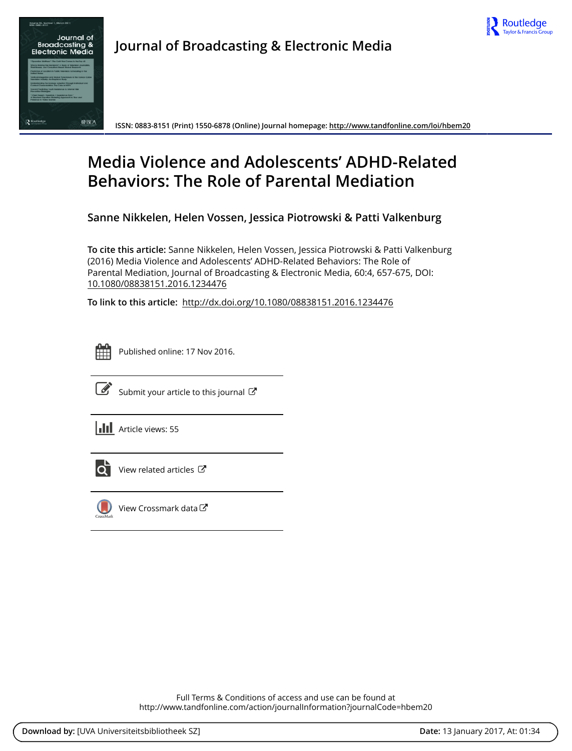



**ISSN: 0883-8151 (Print) 1550-6878 (Online) Journal homepage:<http://www.tandfonline.com/loi/hbem20>**

# **Media Violence and Adolescents' ADHD-Related Behaviors: The Role of Parental Mediation**

**Sanne Nikkelen, Helen Vossen, Jessica Piotrowski & Patti Valkenburg**

**To cite this article:** Sanne Nikkelen, Helen Vossen, Jessica Piotrowski & Patti Valkenburg (2016) Media Violence and Adolescents' ADHD-Related Behaviors: The Role of Parental Mediation, Journal of Broadcasting & Electronic Media, 60:4, 657-675, DOI: [10.1080/08838151.2016.1234476](http://www.tandfonline.com/action/showCitFormats?doi=10.1080/08838151.2016.1234476)

**To link to this article:** <http://dx.doi.org/10.1080/08838151.2016.1234476>

Published online: 17 Nov 2016.



 $\overline{\mathscr{L}}$  [Submit your article to this journal](http://www.tandfonline.com/action/authorSubmission?journalCode=hbem20&show=instructions)  $\mathbb{Z}$ 

 $\left\| \cdot \right\|$  Article views: 55



View related articles



[View Crossmark data](http://crossmark.crossref.org/dialog/?doi=10.1080/08838151.2016.1234476&domain=pdf&date_stamp=2016-11-17)

Full Terms & Conditions of access and use can be found at <http://www.tandfonline.com/action/journalInformation?journalCode=hbem20>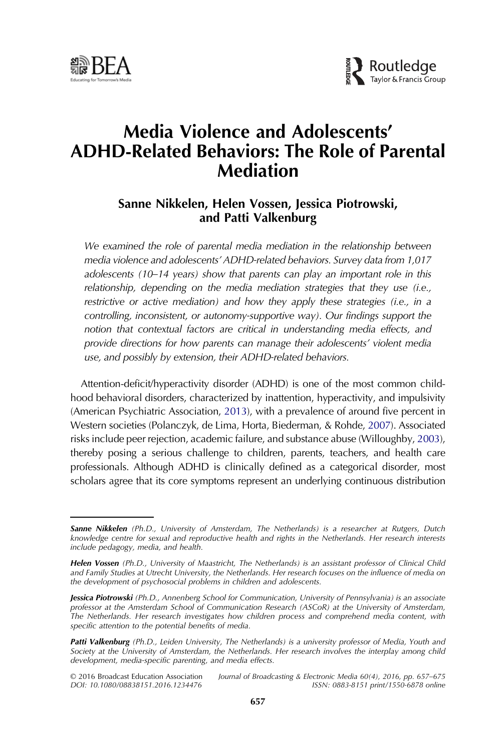



## Media Violence and Adolescents' ADHD-Related Behaviors: The Role of Parental Mediation

## Sanne Nikkelen, Helen Vossen, Jessica Piotrowski, and Patti Valkenburg

We examined the role of parental media mediation in the relationship between media violence and adolescents' ADHD-related behaviors. Survey data from 1,017 adolescents (10–14 years) show that parents can play an important role in this relationship, depending on the media mediation strategies that they use (i.e., restrictive or active mediation) and how they apply these strategies (i.e., in a controlling, inconsistent, or autonomy-supportive way). Our findings support the notion that contextual factors are critical in understanding media effects, and provide directions for how parents can manage their adolescents' violent media use, and possibly by extension, their ADHD-related behaviors.

Attention-deficit/hyperactivity disorder (ADHD) is one of the most common childhood behavioral disorders, characterized by inattention, hyperactivity, and impulsivity (American Psychiatric Association, [2013\)](#page-16-0), with a prevalence of around five percent in Western societies (Polanczyk, de Lima, Horta, Biederman, & Rohde, [2007\)](#page-18-0). Associated risks include peer rejection, academic failure, and substance abuse (Willoughby, [2003](#page-19-0)), thereby posing a serious challenge to children, parents, teachers, and health care professionals. Although ADHD is clinically defined as a categorical disorder, most scholars agree that its core symptoms represent an underlying continuous distribution

Sanne Nikkelen (Ph.D., University of Amsterdam, The Netherlands) is a researcher at Rutgers, Dutch knowledge centre for sexual and reproductive health and rights in the Netherlands. Her research interests include pedagogy, media, and health.

Helen Vossen (Ph.D., University of Maastricht, The Netherlands) is an assistant professor of Clinical Child and Family Studies at Utrecht University, the Netherlands. Her research focuses on the influence of media on the development of psychosocial problems in children and adolescents.

Jessica Piotrowski (Ph.D., Annenberg School for Communication, University of Pennsylvania) is an associate professor at the Amsterdam School of Communication Research (ASCoR) at the University of Amsterdam, The Netherlands. Her research investigates how children process and comprehend media content, with specific attention to the potential benefits of media.

Patti Valkenburg (Ph.D., Leiden University, The Netherlands) is a university professor of Media, Youth and Society at the University of Amsterdam, the Netherlands. Her research involves the interplay among child development, media-specific parenting, and media effects.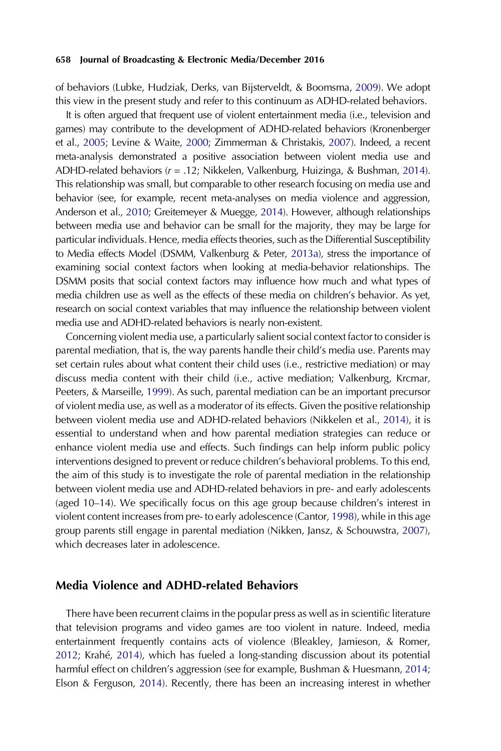of behaviors (Lubke, Hudziak, Derks, van Bijsterveldt, & Boomsma, [2009](#page-17-0)). We adopt this view in the present study and refer to this continuum as ADHD-related behaviors.

It is often argued that frequent use of violent entertainment media (i.e., television and games) may contribute to the development of ADHD-related behaviors (Kronenberger et al., [2005;](#page-17-0) Levine & Waite, [2000;](#page-17-0) Zimmerman & Christakis, [2007\)](#page-19-0). Indeed, a recent meta-analysis demonstrated a positive association between violent media use and ADHD-related behaviors (r = .12; Nikkelen, Valkenburg, Huizinga, & Bushman, [2014](#page-18-0)). This relationship was small, but comparable to other research focusing on media use and behavior (see, for example, recent meta-analyses on media violence and aggression, Anderson et al., [2010;](#page-16-0) Greitemeyer & Muegge, [2014\)](#page-17-0). However, although relationships between media use and behavior can be small for the majority, they may be large for particular individuals. Hence, media effects theories, such as the Differential Susceptibility to Media effects Model (DSMM, Valkenburg & Peter, [2013a](#page-18-0)), stress the importance of examining social context factors when looking at media-behavior relationships. The DSMM posits that social context factors may influence how much and what types of media children use as well as the effects of these media on children's behavior. As yet, research on social context variables that may influence the relationship between violent media use and ADHD-related behaviors is nearly non-existent.

Concerning violent media use, a particularly salient social context factor to consider is parental mediation, that is, the way parents handle their child's media use. Parents may set certain rules about what content their child uses (i.e., restrictive mediation) or may discuss media content with their child (i.e., active mediation; Valkenburg, Krcmar, Peeters, & Marseille, [1999\)](#page-18-0). As such, parental mediation can be an important precursor of violent media use, as well as a moderator of its effects. Given the positive relationship between violent media use and ADHD-related behaviors (Nikkelen et al., [2014](#page-18-0)), it is essential to understand when and how parental mediation strategies can reduce or enhance violent media use and effects. Such findings can help inform public policy interventions designed to prevent or reduce children's behavioral problems. To this end, the aim of this study is to investigate the role of parental mediation in the relationship between violent media use and ADHD-related behaviors in pre- and early adolescents (aged 10–14). We specifically focus on this age group because children's interest in violent content increases from pre- to early adolescence (Cantor, [1998](#page-16-0)), while in this age group parents still engage in parental mediation (Nikken, Jansz, & Schouwstra, [2007](#page-18-0)), which decreases later in adolescence.

## Media Violence and ADHD-related Behaviors

There have been recurrent claims in the popular press as well as in scientific literature that television programs and video games are too violent in nature. Indeed, media entertainment frequently contains acts of violence (Bleakley, Jamieson, & Romer, [2012](#page-16-0); Krahé, [2014](#page-17-0)), which has fueled a long-standing discussion about its potential harmful effect on children's aggression (see for example, Bushman & Huesmann, [2014;](#page-16-0) Elson & Ferguson, [2014\)](#page-17-0). Recently, there has been an increasing interest in whether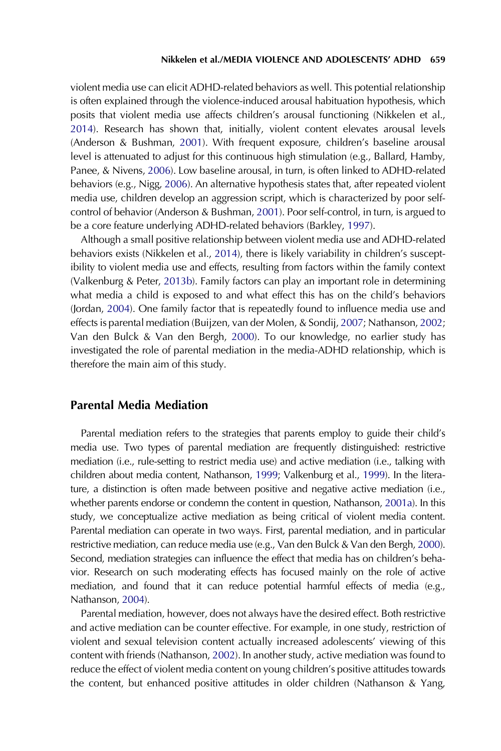violent media use can elicit ADHD-related behaviors as well. This potential relationship is often explained through the violence-induced arousal habituation hypothesis, which posits that violent media use affects children's arousal functioning (Nikkelen et al., [2014](#page-18-0)). Research has shown that, initially, violent content elevates arousal levels (Anderson & Bushman, [2001\)](#page-16-0). With frequent exposure, children's baseline arousal level is attenuated to adjust for this continuous high stimulation (e.g., Ballard, Hamby, Panee, & Nivens, [2006\)](#page-16-0). Low baseline arousal, in turn, is often linked to ADHD-related behaviors (e.g., Nigg, [2006\)](#page-18-0). An alternative hypothesis states that, after repeated violent media use, children develop an aggression script, which is characterized by poor selfcontrol of behavior (Anderson & Bushman, [2001\)](#page-16-0). Poor self-control, in turn, is argued to be a core feature underlying ADHD-related behaviors (Barkley, [1997\)](#page-16-0).

Although a small positive relationship between violent media use and ADHD-related behaviors exists (Nikkelen et al., [2014\)](#page-18-0), there is likely variability in children's susceptibility to violent media use and effects, resulting from factors within the family context (Valkenburg & Peter, [2013b\)](#page-18-0). Family factors can play an important role in determining what media a child is exposed to and what effect this has on the child's behaviors (Jordan, [2004\)](#page-17-0). One family factor that is repeatedly found to influence media use and effects is parental mediation (Buijzen, van der Molen, & Sondij, [2007](#page-16-0); Nathanson, [2002;](#page-18-0) Van den Bulck & Van den Bergh, [2000](#page-19-0)). To our knowledge, no earlier study has investigated the role of parental mediation in the media-ADHD relationship, which is therefore the main aim of this study.

## Parental Media Mediation

Parental mediation refers to the strategies that parents employ to guide their child's media use. Two types of parental mediation are frequently distinguished: restrictive mediation (i.e., rule-setting to restrict media use) and active mediation (i.e., talking with children about media content, Nathanson, [1999;](#page-18-0) Valkenburg et al., [1999\)](#page-18-0). In the literature, a distinction is often made between positive and negative active mediation (i.e., whether parents endorse or condemn the content in question, Nathanson, [2001a](#page-18-0)). In this study, we conceptualize active mediation as being critical of violent media content. Parental mediation can operate in two ways. First, parental mediation, and in particular restrictive mediation, can reduce media use (e.g., Van den Bulck & Van den Bergh, [2000](#page-19-0)). Second, mediation strategies can influence the effect that media has on children's behavior. Research on such moderating effects has focused mainly on the role of active mediation, and found that it can reduce potential harmful effects of media (e.g., Nathanson, [2004](#page-18-0)).

Parental mediation, however, does not always have the desired effect. Both restrictive and active mediation can be counter effective. For example, in one study, restriction of violent and sexual television content actually increased adolescents' viewing of this content with friends (Nathanson, [2002\)](#page-18-0). In another study, active mediation was found to reduce the effect of violent media content on young children's positive attitudes towards the content, but enhanced positive attitudes in older children (Nathanson & Yang,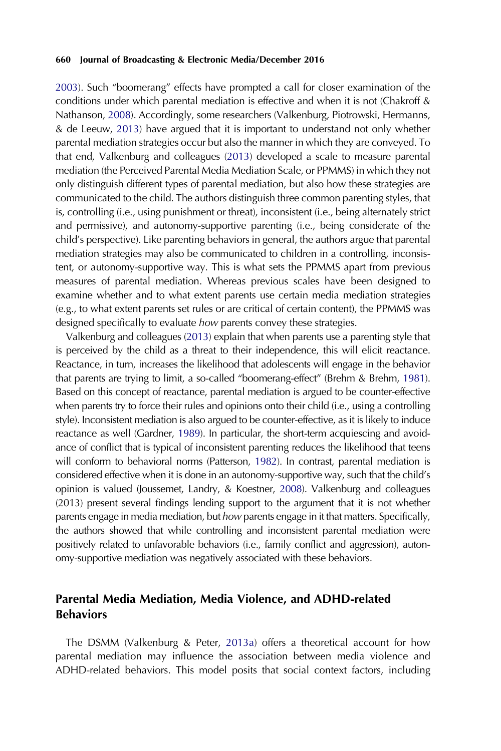[2003](#page-18-0)). Such "boomerang" effects have prompted a call for closer examination of the conditions under which parental mediation is effective and when it is not (Chakroff & Nathanson, [2008\)](#page-17-0). Accordingly, some researchers (Valkenburg, Piotrowski, Hermanns, & de Leeuw, [2013](#page-19-0)) have argued that it is important to understand not only whether parental mediation strategies occur but also the manner in which they are conveyed. To that end, Valkenburg and colleagues ([2013](#page-16-0)) developed a scale to measure parental mediation (the Perceived Parental Media Mediation Scale, or PPMMS) in which they not only distinguish different types of parental mediation, but also how these strategies are communicated to the child. The authors distinguish three common parenting styles, that is, controlling (i.e., using punishment or threat), inconsistent (i.e., being alternately strict and permissive), and autonomy-supportive parenting (i.e., being considerate of the child's perspective). Like parenting behaviors in general, the authors argue that parental mediation strategies may also be communicated to children in a controlling, inconsistent, or autonomy-supportive way. This is what sets the PPMMS apart from previous measures of parental mediation. Whereas previous scales have been designed to examine whether and to what extent parents use certain media mediation strategies (e.g., to what extent parents set rules or are critical of certain content), the PPMMS was designed specifically to evaluate how parents convey these strategies.

Valkenburg and colleagues ([2013\)](#page-19-0) explain that when parents use a parenting style that is perceived by the child as a threat to their independence, this will elicit reactance. Reactance, in turn, increases the likelihood that adolescents will engage in the behavior that parents are trying to limit, a so-called "boomerang-effect" (Brehm & Brehm, [1981](#page-16-0)). Based on this concept of reactance, parental mediation is argued to be counter-effective when parents try to force their rules and opinions onto their child (i.e., using a controlling style). Inconsistent mediation is also argued to be counter-effective, as it is likely to induce reactance as well (Gardner, [1989\)](#page-17-0). In particular, the short-term acquiescing and avoidance of conflict that is typical of inconsistent parenting reduces the likelihood that teens will conform to behavioral norms (Patterson, [1982\)](#page-18-0). In contrast, parental mediation is considered effective when it is done in an autonomy-supportive way, such that the child's opinion is valued (Joussemet, Landry, & Koestner, [2008](#page-17-0)). Valkenburg and colleagues (2013) present several findings lending support to the argument that it is not whether parents engage in media mediation, but how parents engage in it that matters. Specifically, the authors showed that while controlling and inconsistent parental mediation were positively related to unfavorable behaviors (i.e., family conflict and aggression), autonomy-supportive mediation was negatively associated with these behaviors.

## Parental Media Mediation, Media Violence, and ADHD-related Behaviors

The DSMM (Valkenburg & Peter, [2013a](#page-18-0)) offers a theoretical account for how parental mediation may influence the association between media violence and ADHD-related behaviors. This model posits that social context factors, including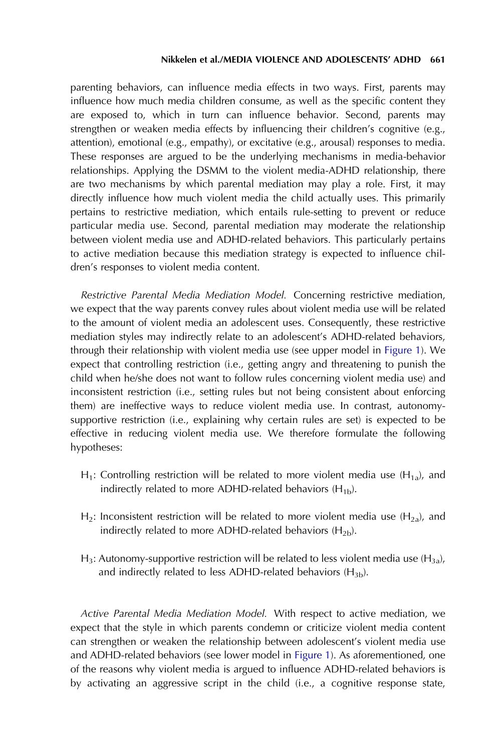parenting behaviors, can influence media effects in two ways. First, parents may influence how much media children consume, as well as the specific content they are exposed to, which in turn can influence behavior. Second, parents may strengthen or weaken media effects by influencing their children's cognitive (e.g., attention), emotional (e.g., empathy), or excitative (e.g., arousal) responses to media. These responses are argued to be the underlying mechanisms in media-behavior relationships. Applying the DSMM to the violent media-ADHD relationship, there are two mechanisms by which parental mediation may play a role. First, it may directly influence how much violent media the child actually uses. This primarily pertains to restrictive mediation, which entails rule-setting to prevent or reduce particular media use. Second, parental mediation may moderate the relationship between violent media use and ADHD-related behaviors. This particularly pertains to active mediation because this mediation strategy is expected to influence children's responses to violent media content.

Restrictive Parental Media Mediation Model. Concerning restrictive mediation, we expect that the way parents convey rules about violent media use will be related to the amount of violent media an adolescent uses. Consequently, these restrictive mediation styles may indirectly relate to an adolescent's ADHD-related behaviors, through their relationship with violent media use (see upper model in [Figure 1\)](#page-6-0). We expect that controlling restriction (i.e., getting angry and threatening to punish the child when he/she does not want to follow rules concerning violent media use) and inconsistent restriction (i.e., setting rules but not being consistent about enforcing them) are ineffective ways to reduce violent media use. In contrast, autonomysupportive restriction (i.e., explaining why certain rules are set) is expected to be effective in reducing violent media use. We therefore formulate the following hypotheses:

- $H_1$ : Controlling restriction will be related to more violent media use  $(H_{1a})$ , and indirectly related to more ADHD-related behaviors  $(H_{1b})$ .
- $H_2$ : Inconsistent restriction will be related to more violent media use ( $H_{2a}$ ), and indirectly related to more ADHD-related behaviors  $(H_{2b})$ .
- $H_3$ : Autonomy-supportive restriction will be related to less violent media use  $(H_{3a})$ , and indirectly related to less ADHD-related behaviors  $(H_{3b})$ .

Active Parental Media Mediation Model. With respect to active mediation, we expect that the style in which parents condemn or criticize violent media content can strengthen or weaken the relationship between adolescent's violent media use and ADHD-related behaviors (see lower model in [Figure 1](#page-6-0)). As aforementioned, one of the reasons why violent media is argued to influence ADHD-related behaviors is by activating an aggressive script in the child (i.e., a cognitive response state,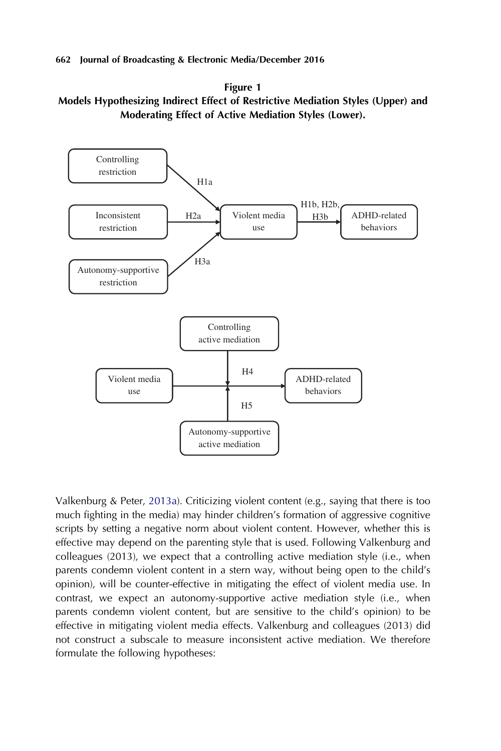<span id="page-6-0"></span>



Valkenburg & Peter, [2013a\)](#page-18-0). Criticizing violent content (e.g., saying that there is too much fighting in the media) may hinder children's formation of aggressive cognitive scripts by setting a negative norm about violent content. However, whether this is effective may depend on the parenting style that is used. Following Valkenburg and colleagues (2013), we expect that a controlling active mediation style (i.e., when parents condemn violent content in a stern way, without being open to the child's opinion), will be counter-effective in mitigating the effect of violent media use. In contrast, we expect an autonomy-supportive active mediation style (i.e., when parents condemn violent content, but are sensitive to the child's opinion) to be effective in mitigating violent media effects. Valkenburg and colleagues (2013) did not construct a subscale to measure inconsistent active mediation. We therefore formulate the following hypotheses: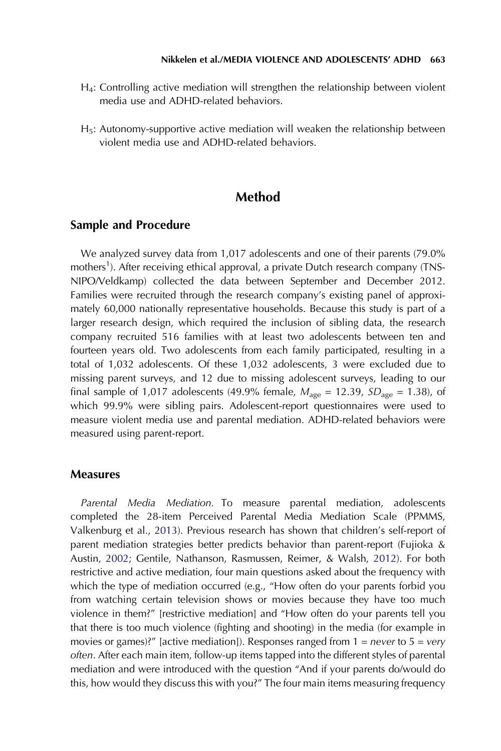- H4: Controlling active mediation will strengthen the relationship between violent media use and ADHD-related behaviors.
- H<sub>5</sub>: Autonomy-supportive active mediation will weaken the relationship between violent media use and ADHD-related behaviors.

## Method

#### Sample and Procedure

We analyzed survey data from 1,017 adolescents and one of their parents (79.0% mothers<sup>[1](#page-15-0)</sup>). After receiving ethical approval, a private Dutch research company (TNS-NIPO/Veldkamp) collected the data between September and December 2012. Families were recruited through the research company's existing panel of approximately 60,000 nationally representative households. Because this study is part of a larger research design, which required the inclusion of sibling data, the research company recruited 516 families with at least two adolescents between ten and fourteen years old. Two adolescents from each family participated, resulting in a total of 1,032 adolescents. Of these 1,032 adolescents, 3 were excluded due to missing parent surveys, and 12 due to missing adolescent surveys, leading to our final sample of 1,017 adolescents (49.9% female,  $M_{\text{age}} = 12.39$ ,  $SD_{\text{age}} = 1.38$ ), of which 99.9% were sibling pairs. Adolescent-report questionnaires were used to measure violent media use and parental mediation. ADHD-related behaviors were measured using parent-report.

#### Measures

Parental Media Mediation. To measure parental mediation, adolescents completed the 28-item Perceived Parental Media Mediation Scale (PPMMS, Valkenburg et al., [2013](#page-19-0)). Previous research has shown that children's self-report of parent mediation strategies better predicts behavior than parent-report (Fujioka & Austin, [2002](#page-17-0); Gentile, Nathanson, Rasmussen, Reimer, & Walsh, [2012\)](#page-17-0). For both restrictive and active mediation, four main questions asked about the frequency with which the type of mediation occurred (e.g., "How often do your parents forbid you from watching certain television shows or movies because they have too much violence in them?" [restrictive mediation] and "How often do your parents tell you that there is too much violence (fighting and shooting) in the media (for example in movies or games)?" [active mediation]). Responses ranged from  $1 = never$  to  $5 = very$ often. After each main item, follow-up items tapped into the different styles of parental mediation and were introduced with the question "And if your parents do/would do this, how would they discuss this with you?" The four main items measuring frequency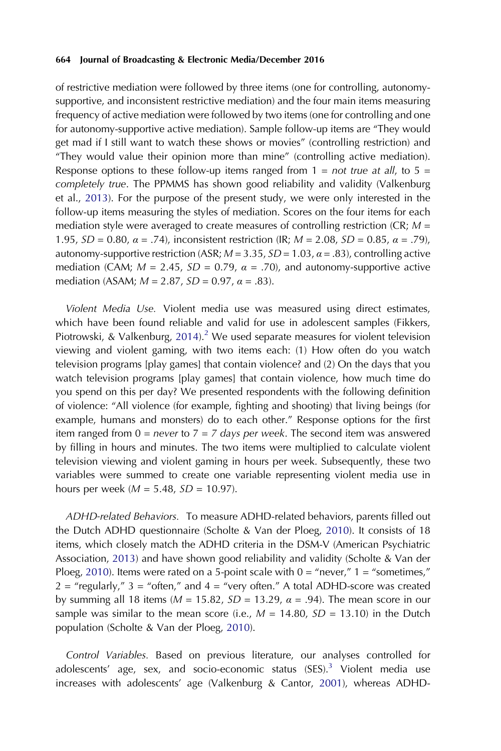of restrictive mediation were followed by three items (one for controlling, autonomysupportive, and inconsistent restrictive mediation) and the four main items measuring frequency of active mediation were followed by two items (one for controlling and one for autonomy-supportive active mediation). Sample follow-up items are "They would get mad if I still want to watch these shows or movies" (controlling restriction) and "They would value their opinion more than mine" (controlling active mediation). Response options to these follow-up items ranged from  $1 = not$  true at all, to  $5 =$ completely true. The PPMMS has shown good reliability and validity (Valkenburg et al., [2013](#page-19-0)). For the purpose of the present study, we were only interested in the follow-up items measuring the styles of mediation. Scores on the four items for each mediation style were averaged to create measures of controlling restriction (CR;  $M =$ 1.95,  $SD = 0.80$ ,  $\alpha = .74$ ), inconsistent restriction (IR;  $M = 2.08$ ,  $SD = 0.85$ ,  $\alpha = .79$ ), autonomy-supportive restriction (ASR;  $M = 3.35$ ,  $SD = 1.03$ ,  $\alpha = .83$ ), controlling active mediation (CAM;  $M = 2.45$ ,  $SD = 0.79$ ,  $\alpha = .70$ ), and autonomy-supportive active mediation (ASAM;  $M = 2.87$ ,  $SD = 0.97$ ,  $\alpha = .83$ ).

Violent Media Use. Violent media use was measured using direct estimates, which have been found reliable and valid for use in adolescent samples (Fikkers, Piotrowski, & Valkenburg,  $2014$ ).<sup>[2](#page-15-0)</sup> We used separate measures for violent television viewing and violent gaming, with two items each: (1) How often do you watch television programs [play games] that contain violence? and (2) On the days that you watch television programs [play games] that contain violence, how much time do you spend on this per day? We presented respondents with the following definition of violence: "All violence (for example, fighting and shooting) that living beings (for example, humans and monsters) do to each other." Response options for the first item ranged from  $0 =$  never to  $7 = 7$  days per week. The second item was answered by filling in hours and minutes. The two items were multiplied to calculate violent television viewing and violent gaming in hours per week. Subsequently, these two variables were summed to create one variable representing violent media use in hours per week ( $M = 5.48$ ,  $SD = 10.97$ ).

ADHD-related Behaviors. To measure ADHD-related behaviors, parents filled out the Dutch ADHD questionnaire (Scholte & Van der Ploeg, [2010\)](#page-18-0). It consists of 18 items, which closely match the ADHD criteria in the DSM-V (American Psychiatric Association, [2013\)](#page-16-0) and have shown good reliability and validity (Scholte & Van der Ploeg, [2010\)](#page-18-0). Items were rated on a 5-point scale with  $0 =$  "never," 1 = "sometimes,"  $2 =$  "regularly,"  $3 =$  "often," and  $4 =$  "very often." A total ADHD-score was created by summing all 18 items ( $M = 15.82$ ,  $SD = 13.29$ ,  $\alpha = .94$ ). The mean score in our sample was similar to the mean score (i.e.,  $M = 14.80$ ,  $SD = 13.10$ ) in the Dutch population (Scholte & Van der Ploeg, [2010](#page-18-0)).

Control Variables. Based on previous literature, our analyses controlled for adolescents' age, sex, and socio-economic status (SES).<sup>3</sup> Violent media use increases with adolescents' age (Valkenburg & Cantor, [2001](#page-18-0)), whereas ADHD-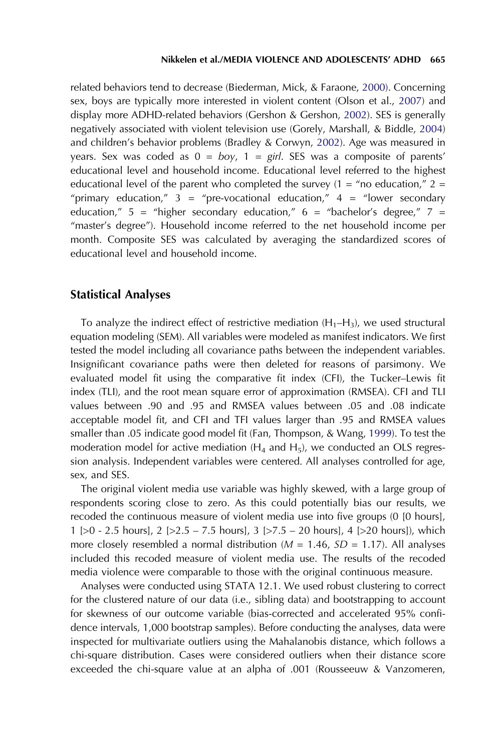related behaviors tend to decrease (Biederman, Mick, & Faraone, [2000](#page-16-0)). Concerning sex, boys are typically more interested in violent content (Olson et al., [2007\)](#page-18-0) and display more ADHD-related behaviors (Gershon & Gershon, [2002](#page-17-0)). SES is generally negatively associated with violent television use (Gorely, Marshall, & Biddle, [2004\)](#page-17-0) and children's behavior problems (Bradley & Corwyn, [2002](#page-16-0)). Age was measured in years. Sex was coded as  $0 = boy$ ,  $1 = girl$ . SES was a composite of parents' educational level and household income. Educational level referred to the highest educational level of the parent who completed the survey  $(1 = \text{``no education'' } 2 =$ "primary education,"  $3 =$  "pre-vocational education,"  $4 =$  "lower secondary" education," 5 = "higher secondary education," 6 = "bachelor's degree," 7 = "master's degree"). Household income referred to the net household income per month. Composite SES was calculated by averaging the standardized scores of educational level and household income.

### Statistical Analyses

To analyze the indirect effect of restrictive mediation  $(H_1-H_3)$ , we used structural equation modeling (SEM). All variables were modeled as manifest indicators. We first tested the model including all covariance paths between the independent variables. Insignificant covariance paths were then deleted for reasons of parsimony. We evaluated model fit using the comparative fit index (CFI), the Tucker–Lewis fit index (TLI), and the root mean square error of approximation (RMSEA). CFI and TLI values between .90 and .95 and RMSEA values between .05 and .08 indicate acceptable model fit, and CFI and TFI values larger than .95 and RMSEA values smaller than .05 indicate good model fit (Fan, Thompson, & Wang, [1999\)](#page-17-0). To test the moderation model for active mediation  $(H_4 \text{ and } H_5)$ , we conducted an OLS regression analysis. Independent variables were centered. All analyses controlled for age, sex, and SES.

The original violent media use variable was highly skewed, with a large group of respondents scoring close to zero. As this could potentially bias our results, we recoded the continuous measure of violent media use into five groups (0 [0 hours], 1  $[>0 - 2.5$  hours], 2  $[>2.5 - 7.5$  hours], 3  $[>7.5 - 20$  hours], 4  $[>20$  hours]), which more closely resembled a normal distribution ( $M = 1.46$ ,  $SD = 1.17$ ). All analyses included this recoded measure of violent media use. The results of the recoded media violence were comparable to those with the original continuous measure.

Analyses were conducted using STATA 12.1. We used robust clustering to correct for the clustered nature of our data (i.e., sibling data) and bootstrapping to account for skewness of our outcome variable (bias-corrected and accelerated 95% confidence intervals, 1,000 bootstrap samples). Before conducting the analyses, data were inspected for multivariate outliers using the Mahalanobis distance, which follows a chi-square distribution. Cases were considered outliers when their distance score exceeded the chi-square value at an alpha of .001 (Rousseeuw & Vanzomeren,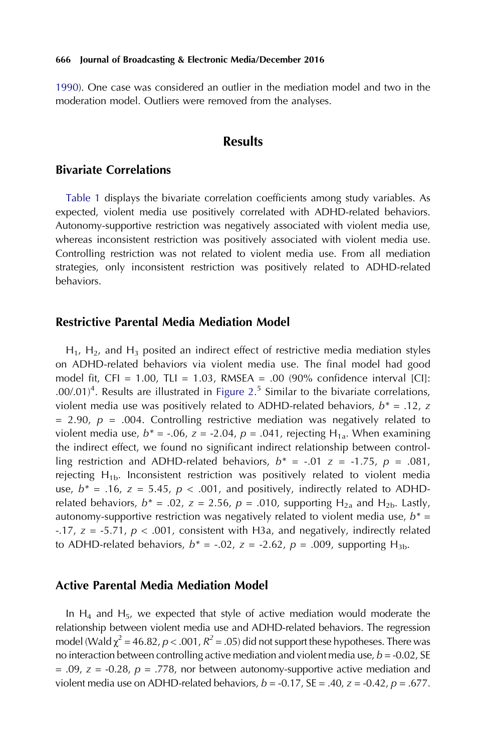[1990\)](#page-18-0). One case was considered an outlier in the mediation model and two in the moderation model. Outliers were removed from the analyses.

## **Results**

## Bivariate Correlations

[Table 1](#page-11-0) displays the bivariate correlation coefficients among study variables. As expected, violent media use positively correlated with ADHD-related behaviors. Autonomy-supportive restriction was negatively associated with violent media use, whereas inconsistent restriction was positively associated with violent media use. Controlling restriction was not related to violent media use. From all mediation strategies, only inconsistent restriction was positively related to ADHD-related behaviors.

#### Restrictive Parental Media Mediation Model

 $H_1$ ,  $H_2$ , and  $H_3$  posited an indirect effect of restrictive media mediation styles on ADHD-related behaviors via violent media use. The final model had good model fit, CFI = 1.00, TLI = 1.03, RMSEA = .00 (90% confidence interval [CI]: .00/.01)<sup>4</sup>. Results are illustrated in [Figure 2.](#page-12-0)<sup>5</sup> Similar to the bivariate correlations, violent media use was positively related to ADHD-related behaviors,  $b^* = .12$ , z  $= 2.90, p = .004$ . Controlling restrictive mediation was negatively related to violent media use,  $b^* = -.06$ ,  $z = -2.04$ ,  $p = .041$ , rejecting H<sub>1a</sub>. When examining the indirect effect, we found no significant indirect relationship between controlling restriction and ADHD-related behaviors,  $b^* = -.01$  z = -1.75, p = .081, rejecting  $H_{1b}$ . Inconsistent restriction was positively related to violent media use,  $b^* = .16$ ,  $z = 5.45$ ,  $p < .001$ , and positively, indirectly related to ADHDrelated behaviors,  $b^* = .02$ ,  $z = 2.56$ ,  $p = .010$ , supporting H<sub>2a</sub> and H<sub>2b</sub>. Lastly, autonomy-supportive restriction was negatively related to violent media use,  $b^*$  = -.17,  $z = -5.71$ ,  $p < .001$ , consistent with H3a, and negatively, indirectly related to ADHD-related behaviors,  $b^* = -.02$ ,  $z = -2.62$ ,  $p = .009$ , supporting H<sub>3b</sub>.

## Active Parental Media Mediation Model

In  $H_4$  and  $H_5$ , we expected that style of active mediation would moderate the relationship between violent media use and ADHD-related behaviors. The regression model (Wald  $\chi^2$  = 46.82,  $p$  < .001,  $R^2$  = .05) did not support these hypotheses. There was no interaction between controlling active mediation and violent media use,  $b = -0.02$ , SE = .09,  $z$  = -0.28,  $p = .778$ , nor between autonomy-supportive active mediation and violent media use on ADHD-related behaviors,  $b = -0.17$ ,  $SE = .40$ ,  $z = -0.42$ ,  $p = .677$ .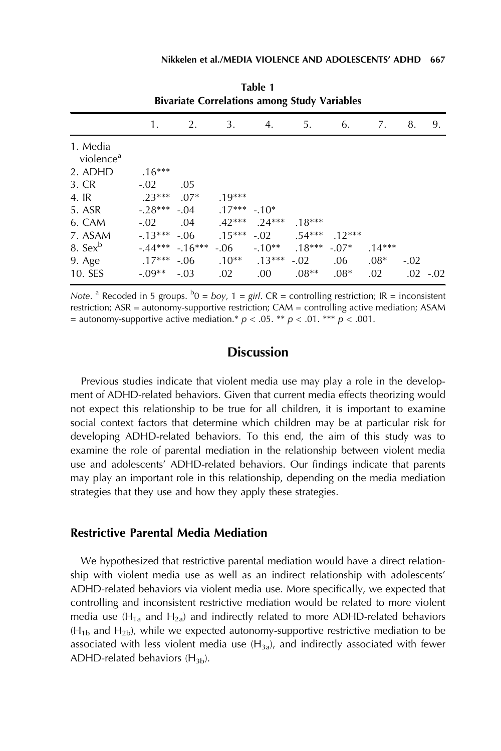<span id="page-11-0"></span>

| <i>Breatance Correlations among biau)</i> variables                                                                                |                                                                                                 |                                                                         |                                                                |                                                           |                                                       |                                     |                           |        |             |  |  |
|------------------------------------------------------------------------------------------------------------------------------------|-------------------------------------------------------------------------------------------------|-------------------------------------------------------------------------|----------------------------------------------------------------|-----------------------------------------------------------|-------------------------------------------------------|-------------------------------------|---------------------------|--------|-------------|--|--|
|                                                                                                                                    | 1.                                                                                              | 2.                                                                      | 3.                                                             | 4.                                                        | 5.                                                    | 6.                                  | 7.                        | 8.     | 9.          |  |  |
| 1. Media<br>violence <sup>a</sup><br>2. ADHD<br>3. CR<br>4. IR<br>5. ASR<br>6. CAM<br>7. ASAM<br>$8.$ Sex $b$<br>9. Age<br>10. SES | $.16***$<br>$-.02$<br>$.23***$<br>$-.28***$<br>$-.02$<br>$-.13***-.06$<br>$.17***$<br>$-0.09**$ | .05<br>$.07*$<br>$-.04$<br>.04<br>$-44***$ $-16***$<br>$-.06$<br>$-.03$ | $19***$<br>$.17***-.10*$<br>$.15***$<br>-.06<br>$.10**$<br>.02 | $.42***$ $.24***$<br>$-.02$<br>$-10**$<br>$.13***$<br>.00 | $.18***$<br>$.54***$<br>$.18***$<br>$-.02$<br>$.08**$ | $12***$<br>$-.07*$<br>.06<br>$.08*$ | $.14***$<br>$.08*$<br>.02 | $-.02$ | $.02 - .02$ |  |  |
|                                                                                                                                    |                                                                                                 |                                                                         |                                                                |                                                           |                                                       |                                     |                           |        |             |  |  |

Table 1 Bivariate Correlations among Study Variables

Note. <sup>a</sup> Recoded in 5 groups.  ${}^{b}0 = boy$ , 1 = girl. CR = controlling restriction; IR = inconsistent restriction; ASR = autonomy-supportive restriction; CAM = controlling active mediation; ASAM = autonomy-supportive active mediation.\*  $p < .05$ . \*\*  $p < .01$ . \*\*\*  $p < .001$ .

## **Discussion**

Previous studies indicate that violent media use may play a role in the development of ADHD-related behaviors. Given that current media effects theorizing would not expect this relationship to be true for all children, it is important to examine social context factors that determine which children may be at particular risk for developing ADHD-related behaviors. To this end, the aim of this study was to examine the role of parental mediation in the relationship between violent media use and adolescents' ADHD-related behaviors. Our findings indicate that parents may play an important role in this relationship, depending on the media mediation strategies that they use and how they apply these strategies.

## Restrictive Parental Media Mediation

We hypothesized that restrictive parental mediation would have a direct relationship with violent media use as well as an indirect relationship with adolescents' ADHD-related behaviors via violent media use. More specifically, we expected that controlling and inconsistent restrictive mediation would be related to more violent media use (H<sub>1a</sub> and H<sub>2a</sub>) and indirectly related to more ADHD-related behaviors  $(H<sub>1b</sub>$  and  $H<sub>2b</sub>$ ), while we expected autonomy-supportive restrictive mediation to be associated with less violent media use  $(H_{3a})$ , and indirectly associated with fewer ADHD-related behaviors  $(H_{3b})$ .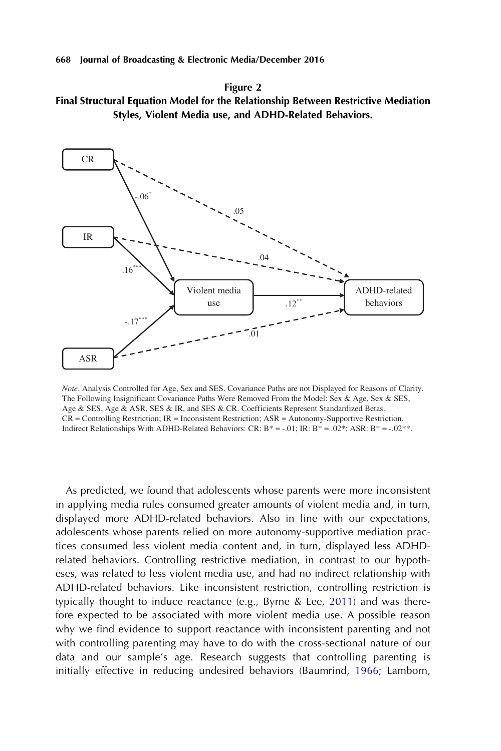<span id="page-12-0"></span>



*Note*. Analysis Controlled for Age, Sex and SES. Covariance Paths are not Displayed for Reasons of Clarity. The Following Insignificant Covariance Paths Were Removed From the Model: Sex & Age, Sex & SES, Age & SES, Age & ASR, SES & IR, and SES & CR. Coefficients Represent Standardized Betas. CR = Controlling Restriction; IR = Inconsistent Restriction; ASR = Autonomy-Supportive Restriction. Indirect Relationships With ADHD-Related Behaviors: CR:  $B^* = -0.01$ ; IR:  $B^* = -0.02^*$ ; ASR:  $B^* = -0.02^{**}$ .

As predicted, we found that adolescents whose parents were more inconsistent in applying media rules consumed greater amounts of violent media and, in turn, displayed more ADHD-related behaviors. Also in line with our expectations, adolescents whose parents relied on more autonomy-supportive mediation practices consumed less violent media content and, in turn, displayed less ADHDrelated behaviors. Controlling restrictive mediation, in contrast to our hypotheses, was related to less violent media use, and had no indirect relationship with ADHD-related behaviors. Like inconsistent restriction, controlling restriction is typically thought to induce reactance (e.g., Byrne & Lee, [2011](#page-16-0)) and was therefore expected to be associated with more violent media use. A possible reason why we find evidence to support reactance with inconsistent parenting and not with controlling parenting may have to do with the cross-sectional nature of our data and our sample's age. Research suggests that controlling parenting is initially effective in reducing undesired behaviors (Baumrind, [1966](#page-16-0); Lamborn,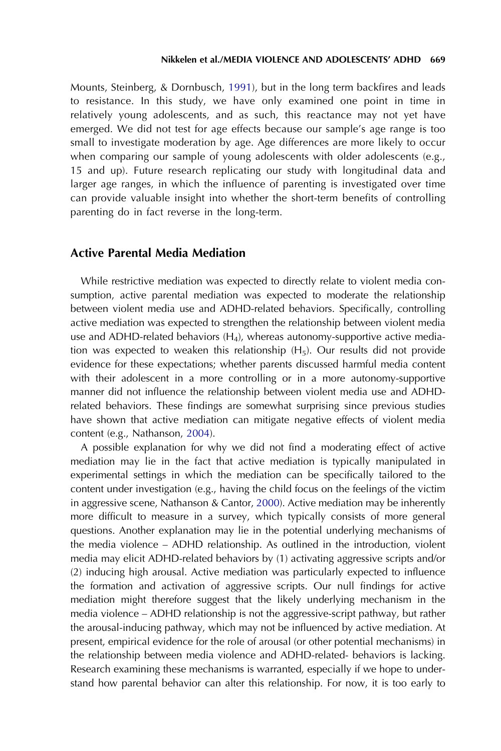Mounts, Steinberg, & Dornbusch, [1991](#page-17-0)), but in the long term backfires and leads to resistance. In this study, we have only examined one point in time in relatively young adolescents, and as such, this reactance may not yet have emerged. We did not test for age effects because our sample's age range is too small to investigate moderation by age. Age differences are more likely to occur when comparing our sample of young adolescents with older adolescents (e.g., 15 and up). Future research replicating our study with longitudinal data and larger age ranges, in which the influence of parenting is investigated over time can provide valuable insight into whether the short-term benefits of controlling parenting do in fact reverse in the long-term.

#### Active Parental Media Mediation

While restrictive mediation was expected to directly relate to violent media consumption, active parental mediation was expected to moderate the relationship between violent media use and ADHD-related behaviors. Specifically, controlling active mediation was expected to strengthen the relationship between violent media use and ADHD-related behaviors  $(H_4)$ , whereas autonomy-supportive active mediation was expected to weaken this relationship  $(H_5)$ . Our results did not provide evidence for these expectations; whether parents discussed harmful media content with their adolescent in a more controlling or in a more autonomy-supportive manner did not influence the relationship between violent media use and ADHDrelated behaviors. These findings are somewhat surprising since previous studies have shown that active mediation can mitigate negative effects of violent media content (e.g., Nathanson, [2004\)](#page-18-0).

A possible explanation for why we did not find a moderating effect of active mediation may lie in the fact that active mediation is typically manipulated in experimental settings in which the mediation can be specifically tailored to the content under investigation (e.g., having the child focus on the feelings of the victim in aggressive scene, Nathanson & Cantor, [2000\)](#page-18-0). Active mediation may be inherently more difficult to measure in a survey, which typically consists of more general questions. Another explanation may lie in the potential underlying mechanisms of the media violence – ADHD relationship. As outlined in the introduction, violent media may elicit ADHD-related behaviors by (1) activating aggressive scripts and/or (2) inducing high arousal. Active mediation was particularly expected to influence the formation and activation of aggressive scripts. Our null findings for active mediation might therefore suggest that the likely underlying mechanism in the media violence – ADHD relationship is not the aggressive-script pathway, but rather the arousal-inducing pathway, which may not be influenced by active mediation. At present, empirical evidence for the role of arousal (or other potential mechanisms) in the relationship between media violence and ADHD-related- behaviors is lacking. Research examining these mechanisms is warranted, especially if we hope to understand how parental behavior can alter this relationship. For now, it is too early to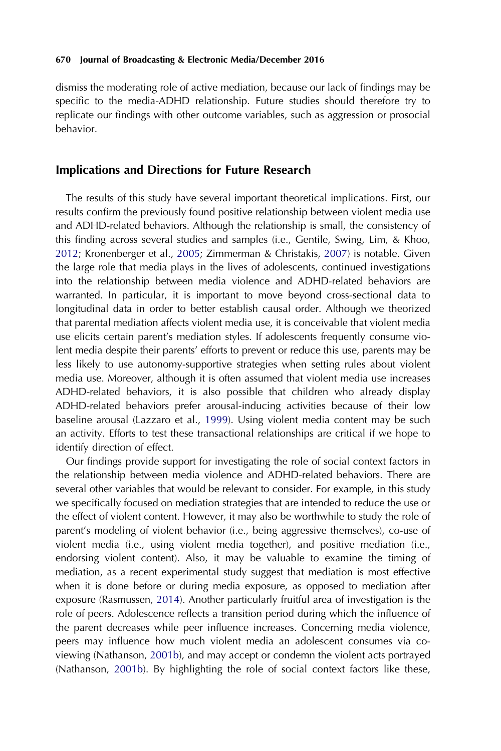dismiss the moderating role of active mediation, because our lack of findings may be specific to the media-ADHD relationship. Future studies should therefore try to replicate our findings with other outcome variables, such as aggression or prosocial behavior.

#### Implications and Directions for Future Research

The results of this study have several important theoretical implications. First, our results confirm the previously found positive relationship between violent media use and ADHD-related behaviors. Although the relationship is small, the consistency of this finding across several studies and samples (i.e., Gentile, Swing, Lim, & Khoo, [2012;](#page-17-0) Kronenberger et al., [2005](#page-17-0); Zimmerman & Christakis, [2007](#page-19-0)) is notable. Given the large role that media plays in the lives of adolescents, continued investigations into the relationship between media violence and ADHD-related behaviors are warranted. In particular, it is important to move beyond cross-sectional data to longitudinal data in order to better establish causal order. Although we theorized that parental mediation affects violent media use, it is conceivable that violent media use elicits certain parent's mediation styles. If adolescents frequently consume violent media despite their parents' efforts to prevent or reduce this use, parents may be less likely to use autonomy-supportive strategies when setting rules about violent media use. Moreover, although it is often assumed that violent media use increases ADHD-related behaviors, it is also possible that children who already display ADHD-related behaviors prefer arousal-inducing activities because of their low baseline arousal (Lazzaro et al., [1999](#page-17-0)). Using violent media content may be such an activity. Efforts to test these transactional relationships are critical if we hope to identify direction of effect.

Our findings provide support for investigating the role of social context factors in the relationship between media violence and ADHD-related behaviors. There are several other variables that would be relevant to consider. For example, in this study we specifically focused on mediation strategies that are intended to reduce the use or the effect of violent content. However, it may also be worthwhile to study the role of parent's modeling of violent behavior (i.e., being aggressive themselves), co-use of violent media (i.e., using violent media together), and positive mediation (i.e., endorsing violent content). Also, it may be valuable to examine the timing of mediation, as a recent experimental study suggest that mediation is most effective when it is done before or during media exposure, as opposed to mediation after exposure (Rasmussen, [2014\)](#page-18-0). Another particularly fruitful area of investigation is the role of peers. Adolescence reflects a transition period during which the influence of the parent decreases while peer influence increases. Concerning media violence, peers may influence how much violent media an adolescent consumes via coviewing (Nathanson, [2001b](#page-18-0)), and may accept or condemn the violent acts portrayed (Nathanson, [2001b](#page-18-0)). By highlighting the role of social context factors like these,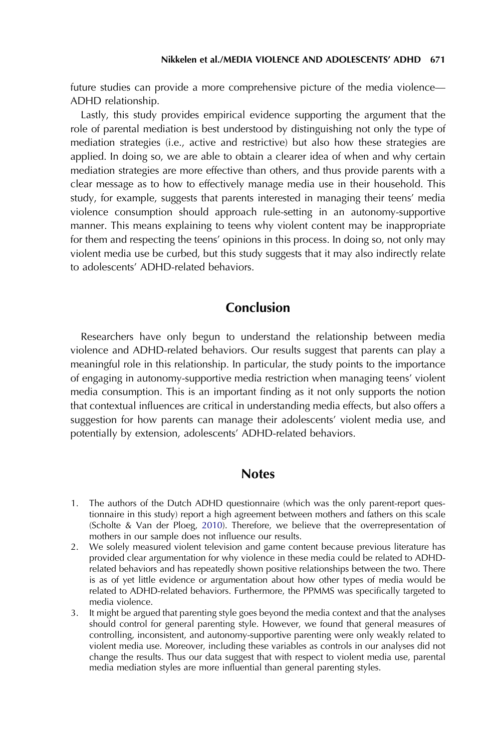<span id="page-15-0"></span>future studies can provide a more comprehensive picture of the media violence— ADHD relationship.

Lastly, this study provides empirical evidence supporting the argument that the role of parental mediation is best understood by distinguishing not only the type of mediation strategies (i.e., active and restrictive) but also how these strategies are applied. In doing so, we are able to obtain a clearer idea of when and why certain mediation strategies are more effective than others, and thus provide parents with a clear message as to how to effectively manage media use in their household. This study, for example, suggests that parents interested in managing their teens' media violence consumption should approach rule-setting in an autonomy-supportive manner. This means explaining to teens why violent content may be inappropriate for them and respecting the teens' opinions in this process. In doing so, not only may violent media use be curbed, but this study suggests that it may also indirectly relate to adolescents' ADHD-related behaviors.

## Conclusion

Researchers have only begun to understand the relationship between media violence and ADHD-related behaviors. Our results suggest that parents can play a meaningful role in this relationship. In particular, the study points to the importance of engaging in autonomy-supportive media restriction when managing teens' violent media consumption. This is an important finding as it not only supports the notion that contextual influences are critical in understanding media effects, but also offers a suggestion for how parents can manage their adolescents' violent media use, and potentially by extension, adolescents' ADHD-related behaviors.

## **Notes**

- 1. The authors of the Dutch ADHD questionnaire (which was the only parent-report questionnaire in this study) report a high agreement between mothers and fathers on this scale (Scholte & Van der Ploeg, [2010\)](#page-18-0). Therefore, we believe that the overrepresentation of mothers in our sample does not influence our results.
- 2. We solely measured violent television and game content because previous literature has provided clear argumentation for why violence in these media could be related to ADHDrelated behaviors and has repeatedly shown positive relationships between the two. There is as of yet little evidence or argumentation about how other types of media would be related to ADHD-related behaviors. Furthermore, the PPMMS was specifically targeted to media violence.
- 3. It might be argued that parenting style goes beyond the media context and that the analyses should control for general parenting style. However, we found that general measures of controlling, inconsistent, and autonomy-supportive parenting were only weakly related to violent media use. Moreover, including these variables as controls in our analyses did not change the results. Thus our data suggest that with respect to violent media use, parental media mediation styles are more influential than general parenting styles.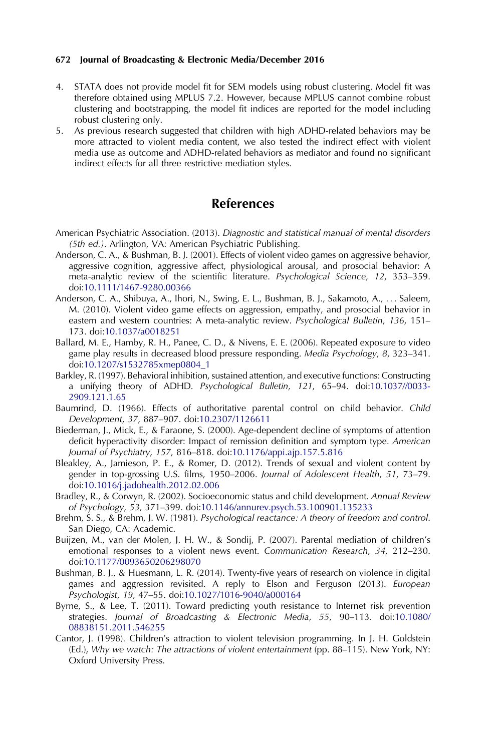- <span id="page-16-0"></span>4. STATA does not provide model fit for SEM models using robust clustering. Model fit was therefore obtained using MPLUS 7.2. However, because MPLUS cannot combine robust clustering and bootstrapping, the model fit indices are reported for the model including robust clustering only.
- 5. As previous research suggested that children with high ADHD-related behaviors may be more attracted to violent media content, we also tested the indirect effect with violent media use as outcome and ADHD-related behaviors as mediator and found no significant indirect effects for all three restrictive mediation styles.

## References

- American Psychiatric Association. (2013). Diagnostic and statistical manual of mental disorders (5th ed.). Arlington, VA: American Psychiatric Publishing.
- Anderson, C. A., & Bushman, B. J. (2001). Effects of violent video games on aggressive behavior, aggressive cognition, aggressive affect, physiological arousal, and prosocial behavior: A meta-analytic review of the scientific literature. Psychological Science, 12, 353–359. doi[:10.1111/1467-9280.00366](http://dx.doi.org/10.1111/1467-9280.00366)
- Anderson, C. A., Shibuya, A., Ihori, N., Swing, E. L., Bushman, B. J., Sakamoto, A., . . . Saleem, M. (2010). Violent video game effects on aggression, empathy, and prosocial behavior in eastern and western countries: A meta-analytic review. Psychological Bulletin, 136, 151– 173. doi[:10.1037/a0018251](http://dx.doi.org/10.1037/a0018251)
- Ballard, M. E., Hamby, R. H., Panee, C. D., & Nivens, E. E. (2006). Repeated exposure to video game play results in decreased blood pressure responding. Media Psychology, 8, 323–341. doi[:10.1207/s1532785xmep0804\\_1](http://dx.doi.org/10.1207/s1532785xmep0804%5F1)
- Barkley, R. (1997). Behavioral inhibition, sustained attention, and executive functions: Constructing a unifying theory of ADHD. Psychological Bulletin, 121, 65–94. doi[:10.1037//0033-](http://dx.doi.org/10.1037//0033-2909.121.1.65) [2909.121.1.65](http://dx.doi.org/10.1037//0033-2909.121.1.65)
- Baumrind, D. (1966). Effects of authoritative parental control on child behavior. Child Development, 37, 887–907. doi:[10.2307/1126611](http://dx.doi.org/10.2307/1126611)
- Biederman, J., Mick, E., & Faraone, S. (2000). Age-dependent decline of symptoms of attention deficit hyperactivity disorder: Impact of remission definition and symptom type. American Journal of Psychiatry, 157, 816–818. doi[:10.1176/appi.ajp.157.5.816](http://dx.doi.org/10.1176/appi.ajp.157.5.816)
- Bleakley, A., Jamieson, P. E., & Romer, D. (2012). Trends of sexual and violent content by gender in top-grossing U.S. films, 1950–2006. Journal of Adolescent Health, 51, 73–79. doi[:10.1016/j.jadohealth.2012.02.006](http://dx.doi.org/10.1016/j.jadohealth.2012.02.006)
- Bradley, R., & Corwyn, R. (2002). Socioeconomic status and child development. Annual Review of Psychology, 53, 371–399. doi[:10.1146/annurev.psych.53.100901.135233](http://dx.doi.org/10.1146/annurev.psych.53.100901.135233)
- Brehm, S. S., & Brehm, J. W. (1981). Psychological reactance: A theory of freedom and control. San Diego, CA: Academic.
- Buijzen, M., van der Molen, J. H. W., & Sondij, P. (2007). Parental mediation of children's emotional responses to a violent news event. Communication Research, 34, 212–230. doi[:10.1177/0093650206298070](http://dx.doi.org/10.1177/0093650206298070)
- Bushman, B. J., & Huesmann, L. R. (2014). Twenty-five years of research on violence in digital games and aggression revisited. A reply to Elson and Ferguson (2013). European Psychologist, 19, 47–55. doi:[10.1027/1016-9040/a000164](http://dx.doi.org/10.1027/1016-9040/a000164)
- Byrne, S., & Lee, T. (2011). Toward predicting youth resistance to Internet risk prevention strategies. Journal of Broadcasting & Electronic Media, 55, 90–113. doi[:10.1080/](http://dx.doi.org/10.1080/08838151.2011.546255) [08838151.2011.546255](http://dx.doi.org/10.1080/08838151.2011.546255)
- Cantor, J. (1998). Children's attraction to violent television programming. In J. H. Goldstein (Ed.), Why we watch: The attractions of violent entertainment (pp. 88–115). New York, NY: Oxford University Press.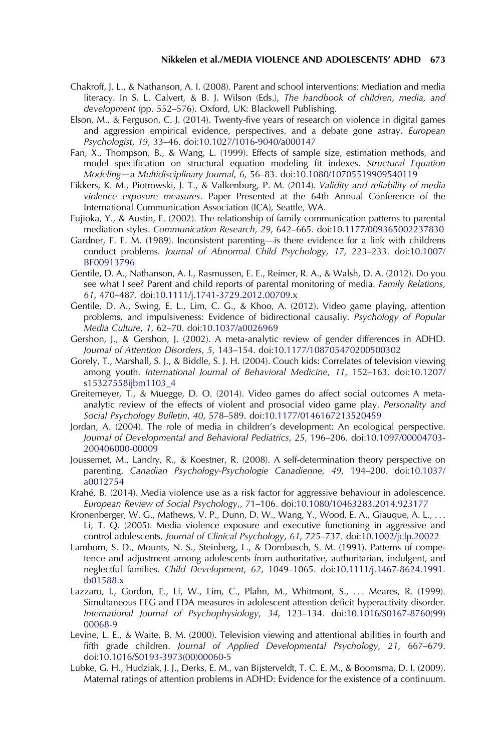- <span id="page-17-0"></span>Chakroff, J. L., & Nathanson, A. I. (2008). Parent and school interventions: Mediation and media literacy. In S. L. Calvert, & B. J. Wilson (Eds.), The handbook of children, media, and development (pp. 552–576). Oxford, UK: Blackwell Publishing.
- Elson, M., & Ferguson, C. J. (2014). Twenty-five years of research on violence in digital games and aggression empirical evidence, perspectives, and a debate gone astray. *European* Psychologist, 19, 33–46. doi:[10.1027/1016-9040/a000147](http://dx.doi.org/10.1027/1016-9040/a000147)
- Fan, X., Thompson, B., & Wang, L. (1999). Effects of sample size, estimation methods, and model specification on structural equation modeling fit indexes. Structural Equation Modeling—a Multidisciplinary Journal, 6, 56–83. doi:[10.1080/10705519909540119](http://dx.doi.org/10.1080/10705519909540119)
- Fikkers, K. M., Piotrowski, J. T., & Valkenburg, P. M. (2014). Validity and reliability of media violence exposure measures. Paper Presented at the 64th Annual Conference of the International Communication Association (ICA), Seattle, WA.
- Fujioka, Y., & Austin, E. (2002). The relationship of family communication patterns to parental mediation styles. Communication Research, 29, 642–665. doi[:10.1177/009365002237830](http://dx.doi.org/10.1177/009365002237830)
- Gardner, F. E. M. (1989). Inconsistent parenting—is there evidence for a link with childrens conduct problems. Journal of Abnormal Child Psychology, 17, 223–233. doi[:10.1007/](http://dx.doi.org/10.1007/BF00913796) [BF00913796](http://dx.doi.org/10.1007/BF00913796)
- Gentile, D. A., Nathanson, A. I., Rasmussen, E. E., Reimer, R. A., & Walsh, D. A. (2012). Do you see what I see? Parent and child reports of parental monitoring of media. Family Relations, 61, 470–487. doi:[10.1111/j.1741-3729.2012.00709.x](http://dx.doi.org/10.1111/j.1741-3729.2012.00709.x)
- Gentile, D. A., Swing, E. L., Lim, C. G., & Khoo, A. (2012). Video game playing, attention problems, and impulsiveness: Evidence of bidirectional causaliy. Psychology of Popular Media Culture, 1, 62–70. doi:[10.1037/a0026969](http://dx.doi.org/10.1037/a0026969)
- Gershon, J., & Gershon, J. (2002). A meta-analytic review of gender differences in ADHD. Journal of Attention Disorders, 5, 143–154. doi[:10.1177/108705470200500302](http://dx.doi.org/10.1177/108705470200500302)
- Gorely, T., Marshall, S. J., & Biddle, S. J. H. (2004). Couch kids: Correlates of television viewing among youth. International Journal of Behavioral Medicine, 11, 152–163. doi[:10.1207/](http://dx.doi.org/10.1207/s15327558ijbm1103%5F4) [s15327558ijbm1103\\_4](http://dx.doi.org/10.1207/s15327558ijbm1103%5F4)
- Greitemeyer, T., & Muegge, D. O. (2014). Video games do affect social outcomes A metaanalytic review of the effects of violent and prosocial video game play. Personality and Social Psychology Bulletin, 40, 578–589. doi[:10.1177/0146167213520459](http://dx.doi.org/10.1177/0146167213520459)
- Jordan, A. (2004). The role of media in children's development: An ecological perspective. Journal of Developmental and Behavioral Pediatrics, 25, 196–206. doi:[10.1097/00004703-](http://dx.doi.org/10.1097/00004703-200406000-00009) [200406000-00009](http://dx.doi.org/10.1097/00004703-200406000-00009)
- Joussemet, M., Landry, R., & Koestner, R. (2008). A self-determination theory perspective on parenting. Canadian Psychology-Psychologie Canadienne, 49, 194–200. doi[:10.1037/](http://dx.doi.org/10.1037/a0012754) [a0012754](http://dx.doi.org/10.1037/a0012754)
- Krahé, B. (2014). Media violence use as a risk factor for aggressive behaviour in adolescence. European Review of Social Psychology,, 71–106. doi[:10.1080/10463283.2014.923177](http://dx.doi.org/10.1080/10463283.2014.923177)
- Kronenberger, W. G., Mathews, V. P., Dunn, D. W., Wang, Y., Wood, E. A., Giauque, A. L., ... Li, T. Q. (2005). Media violence exposure and executive functioning in aggressive and control adolescents. Journal of Clinical Psychology, 61, 725–737. doi[:10.1002/jclp.20022](http://dx.doi.org/10.1002/jclp.20022)
- Lamborn, S. D., Mounts, N. S., Steinberg, L., & Dornbusch, S. M. (1991). Patterns of competence and adjustment among adolescents from authoritative, authoritarian, indulgent, and neglectful families. Child Development, 62, 1049–1065. doi:[10.1111/j.1467-8624.1991.](http://dx.doi.org/10.1111/j.1467-8624.1991.tb01588.x) [tb01588.x](http://dx.doi.org/10.1111/j.1467-8624.1991.tb01588.x)
- Lazzaro, I., Gordon, E., Li, W., Lim, C., Plahn, M., Whitmont, S., ... Meares, R. (1999). Simultaneous EEG and EDA measures in adolescent attention deficit hyperactivity disorder. International Journal of Psychophysiology, 34, 123–134. doi:[10.1016/S0167-8760\(99\)](http://dx.doi.org/10.1016/S0167-8760(99)00068-9) [00068-9](http://dx.doi.org/10.1016/S0167-8760(99)00068-9)
- Levine, L. E., & Waite, B. M. (2000). Television viewing and attentional abilities in fourth and fifth grade children. Journal of Applied Developmental Psychology, 21, 667–679. doi[:10.1016/S0193-3973\(00\)00060-5](http://dx.doi.org/10.1016/S0193-3973(00)00060-5)
- Lubke, G. H., Hudziak, J. J., Derks, E. M., van Bijsterveldt, T. C. E. M., & Boomsma, D. I. (2009). Maternal ratings of attention problems in ADHD: Evidence for the existence of a continuum.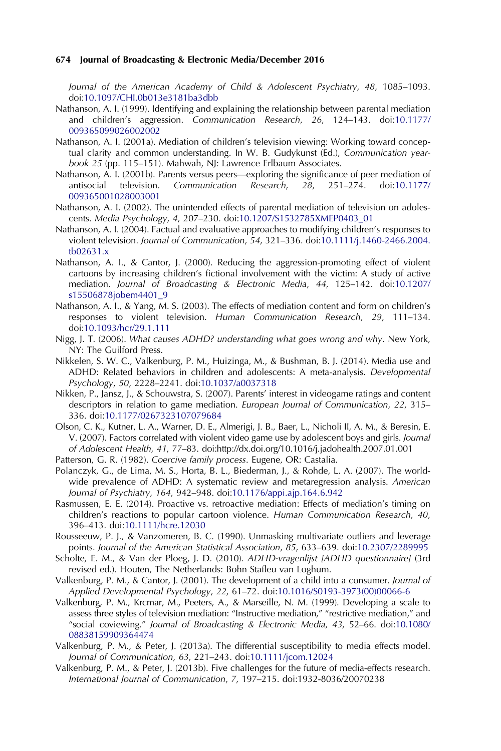<span id="page-18-0"></span>Journal of the American Academy of Child & Adolescent Psychiatry, 48, 1085–1093. doi[:10.1097/CHI.0b013e3181ba3dbb](http://dx.doi.org/10.1097/CHI.0b013e3181ba3dbb)

- Nathanson, A. I. (1999). Identifying and explaining the relationship between parental mediation and children's aggression. Communication Research, 26, 124–143. doi[:10.1177/](http://dx.doi.org/10.1177/009365099026002002) [009365099026002002](http://dx.doi.org/10.1177/009365099026002002)
- Nathanson, A. I. (2001a). Mediation of children's television viewing: Working toward conceptual clarity and common understanding. In W. B. Gudykunst (Ed.), Communication yearbook 25 (pp. 115–151). Mahwah, NJ: Lawrence Erlbaum Associates.
- Nathanson, A. I. (2001b). Parents versus peers—exploring the significance of peer mediation of antisocial television. Communication Research, 28, 251–274. doi:10.1177/ antisocial television. Communication [009365001028003001](http://dx.doi.org/10.1177/009365001028003001)
- Nathanson, A. I. (2002). The unintended effects of parental mediation of television on adolescents. Media Psychology, 4, 207–230. doi[:10.1207/S1532785XMEP0403\\_01](http://dx.doi.org/10.1207/S1532785XMEP0403%5F01)
- Nathanson, A. I. (2004). Factual and evaluative approaches to modifying children's responses to violent television. Journal of Communication, 54, 321–336. doi:[10.1111/j.1460-2466.2004.](http://dx.doi.org/10.1111/j.1460-2466.2004.tb02631.x) [tb02631.x](http://dx.doi.org/10.1111/j.1460-2466.2004.tb02631.x)
- Nathanson, A. I., & Cantor, J. (2000). Reducing the aggression-promoting effect of violent cartoons by increasing children's fictional involvement with the victim: A study of active mediation. Journal of Broadcasting & Electronic Media, 44, 125–142. doi[:10.1207/](http://dx.doi.org/10.1207/s15506878jobem4401%5F9) [s15506878jobem4401\\_9](http://dx.doi.org/10.1207/s15506878jobem4401%5F9)
- Nathanson, A. I., & Yang, M. S. (2003). The effects of mediation content and form on children's responses to violent television. Human Communication Research, 29, 111–134. doi[:10.1093/hcr/29.1.111](http://dx.doi.org/10.1093/hcr/29.1.111)
- Nigg, J. T. (2006). What causes ADHD? understanding what goes wrong and why. New York, NY: The Guilford Press.
- Nikkelen, S. W. C., Valkenburg, P. M., Huizinga, M., & Bushman, B. J. (2014). Media use and ADHD: Related behaviors in children and adolescents: A meta-analysis. Developmental Psychology, 50, 2228–2241. doi:[10.1037/a0037318](http://dx.doi.org/10.1037/a0037318)
- Nikken, P., Jansz, J., & Schouwstra, S. (2007). Parents' interest in videogame ratings and content descriptors in relation to game mediation. European Journal of Communication, 22, 315– 336. doi[:10.1177/0267323107079684](http://dx.doi.org/10.1177/0267323107079684)
- Olson, C. K., Kutner, L. A., Warner, D. E., Almerigi, J. B., Baer, L., Nicholi II, A. M., & Beresin, E. V. (2007). Factors correlated with violent video game use by adolescent boys and girls. Journal of Adolescent Health, 41, 77–83. doi:http://dx.doi.org/10.1016/j.jadohealth.2007.01.001
- Patterson, G. R. (1982). Coercive family process. Eugene, OR: Castalia.
- Polanczyk, G., de Lima, M. S., Horta, B. L., Biederman, J., & Rohde, L. A. (2007). The worldwide prevalence of ADHD: A systematic review and metaregression analysis. American Journal of Psychiatry, 164, 942–948. doi[:10.1176/appi.ajp.164.6.942](http://dx.doi.org/10.1176/appi.ajp.164.6.942)
- Rasmussen, E. E. (2014). Proactive vs. retroactive mediation: Effects of mediation's timing on children's reactions to popular cartoon violence. Human Communication Research, 40, 396–413. doi[:10.1111/hcre.12030](http://dx.doi.org/10.1111/hcre.12030)
- Rousseeuw, P. J., & Vanzomeren, B. C. (1990). Unmasking multivariate outliers and leverage points. Journal of the American Statistical Association, 85, 633–639. doi[:10.2307/2289995](http://dx.doi.org/10.2307/2289995)
- Scholte, E. M., & Van der Ploeg, J. D. (2010). ADHD-vragenlijst [ADHD questionnaire] (3rd revised ed.). Houten, The Netherlands: Bohn Stafleu van Loghum.
- Valkenburg, P. M., & Cantor, J. (2001). The development of a child into a consumer. Journal of Applied Developmental Psychology, 22, 61–72. doi[:10.1016/S0193-3973\(00\)00066-6](http://dx.doi.org/10.1016/S0193-3973(00)00066-6)
- Valkenburg, P. M., Krcmar, M., Peeters, A., & Marseille, N. M. (1999). Developing a scale to assess three styles of television mediation: "Instructive mediation," "restrictive mediation," and "social coviewing." Journal of Broadcasting & Electronic Media, 43, 52–66. doi[:10.1080/](http://dx.doi.org/10.1080/08838159909364474) [08838159909364474](http://dx.doi.org/10.1080/08838159909364474)
- Valkenburg, P. M., & Peter, J. (2013a). The differential susceptibility to media effects model. Journal of Communication, 63, 221–243. doi:[10.1111/jcom.12024](http://dx.doi.org/10.1111/jcom.12024)
- Valkenburg, P. M., & Peter, J. (2013b). Five challenges for the future of media-effects research. International Journal of Communication, 7, 197–215. doi:1932-8036/20070238